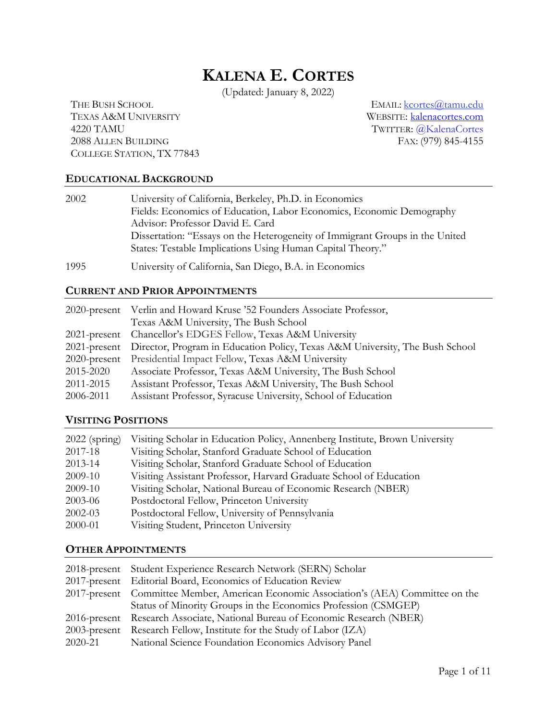# **KALENA E. CORTES**

(Updated: January 8, 2022)

TEXAS A&M UNIVERSITY WEBSITE: [kalenacortes.com](https://www.kalenacortes.com/) 4220 TAMU TWITTER: @KalenaCortes 2088 ALLEN BUILDING COLLEGE STATION, TX 77843

THE BUSH SCHOOL EMAIL:  $k$ cortes@tamu.edu

#### **EDUCATIONAL BACKGROUND**

| 2002 | University of California, Berkeley, Ph.D. in Economics                       |
|------|------------------------------------------------------------------------------|
|      | Fields: Economics of Education, Labor Economics, Economic Demography         |
|      | Advisor: Professor David E. Card                                             |
|      | Dissertation: "Essays on the Heterogeneity of Immigrant Groups in the United |
|      | States: Testable Implications Using Human Capital Theory."                   |
| 1995 | University of California, San Diego, B.A. in Economics                       |

#### **CURRENT AND PRIOR APPOINTMENTS**

|           | 2020-present Verlin and Howard Kruse '52 Founders Associate Professor,                    |
|-----------|-------------------------------------------------------------------------------------------|
|           | Texas A&M University, The Bush School                                                     |
|           | 2021-present Chancellor's EDGES Fellow, Texas A&M University                              |
|           | 2021-present Director, Program in Education Policy, Texas A&M University, The Bush School |
|           | 2020-present Presidential Impact Fellow, Texas A&M University                             |
| 2015-2020 | Associate Professor, Texas A&M University, The Bush School                                |
| 2011-2015 | Assistant Professor, Texas A&M University, The Bush School                                |
| 2006-2011 | Assistant Professor, Syracuse University, School of Education                             |

#### **VISITING POSITIONS**

| $2022$ (spring) | Visiting Scholar in Education Policy, Annenberg Institute, Brown University |
|-----------------|-----------------------------------------------------------------------------|
| 2017-18         | Visiting Scholar, Stanford Graduate School of Education                     |
| 2013-14         | Visiting Scholar, Stanford Graduate School of Education                     |
| 2009-10         | Visiting Assistant Professor, Harvard Graduate School of Education          |
| 2009-10         | Visiting Scholar, National Bureau of Economic Research (NBER)               |
| 2003-06         | Postdoctoral Fellow, Princeton University                                   |
| $2002 - 03$     | Postdoctoral Fellow, University of Pennsylvania                             |
| 2000-01         | Visiting Student, Princeton University                                      |

#### **OTHER APPOINTMENTS**

|         | 2018-present Student Experience Research Network (SERN) Scholar                       |
|---------|---------------------------------------------------------------------------------------|
|         | 2017-present Editorial Board, Economics of Education Review                           |
|         | 2017-present Committee Member, American Economic Association's (AEA) Committee on the |
|         | Status of Minority Groups in the Economics Profession (CSMGEP)                        |
|         | 2016-present Research Associate, National Bureau of Economic Research (NBER)          |
|         | 2003-present Research Fellow, Institute for the Study of Labor (IZA)                  |
| 2020-21 | National Science Foundation Economics Advisory Panel                                  |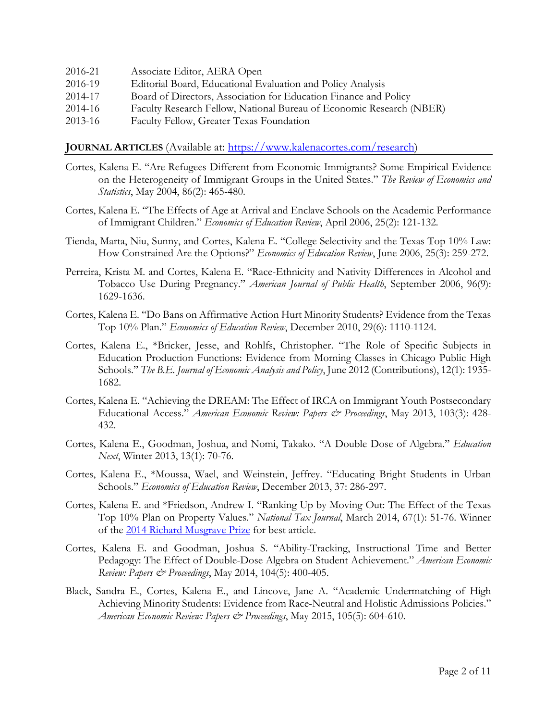| 2016-21 | Associate Editor, AERA Open                                          |
|---------|----------------------------------------------------------------------|
| 2016-19 | Editorial Board, Educational Evaluation and Policy Analysis          |
| 2014-17 | Board of Directors, Association for Education Finance and Policy     |
| 2014-16 | Faculty Research Fellow, National Bureau of Economic Research (NBER) |
| 2013-16 | Faculty Fellow, Greater Texas Foundation                             |

#### **JOURNAL ARTICLES** (Available at: [https://www.kalenacortes.com/research\)](https://www.kalenacortes.com/research)

- Cortes, Kalena E. "Are Refugees Different from Economic Immigrants? Some Empirical Evidence on the Heterogeneity of Immigrant Groups in the United States." *The Review of Economics and Statistics*, May 2004, 86(2): 465-480.
- Cortes, Kalena E. "The Effects of Age at Arrival and Enclave Schools on the Academic Performance of Immigrant Children." *Economics of Education Review*, April 2006, 25(2): 121-132*.*
- Tienda, Marta, Niu, Sunny, and Cortes, Kalena E. "College Selectivity and the Texas Top 10% Law: How Constrained Are the Options?" *Economics of Education Review*, June 2006, 25(3): 259-272.
- Perreira, Krista M. and Cortes, Kalena E. "Race-Ethnicity and Nativity Differences in Alcohol and Tobacco Use During Pregnancy." *American Journal of Public Health*, September 2006, 96(9): 1629-1636.
- Cortes, Kalena E. "Do Bans on Affirmative Action Hurt Minority Students? Evidence from the Texas Top 10% Plan." *Economics of Education Review*, December 2010, 29(6): 1110-1124.
- Cortes, Kalena E., \*Bricker, Jesse, and Rohlfs, Christopher. "The Role of Specific Subjects in Education Production Functions: Evidence from Morning Classes in Chicago Public High Schools." *The B.E. Journal of Economic Analysis and Policy*, June 2012 (Contributions), 12(1): 1935- 1682.
- Cortes, Kalena E. "Achieving the DREAM: The Effect of IRCA on Immigrant Youth Postsecondary Educational Access." *American Economic Review: Papers & Proceedings*, May 2013, 103(3): 428- 432.
- Cortes, Kalena E., Goodman, Joshua, and Nomi, Takako. "A Double Dose of Algebra." *Education Next*, Winter 2013, 13(1): 70-76.
- Cortes, Kalena E., \*Moussa, Wael, and Weinstein, Jeffrey. "Educating Bright Students in Urban Schools." *Economics of Education Review*, December 2013, 37: 286-297.
- Cortes, Kalena E. and \*Friedson, Andrew I. "Ranking Up by Moving Out: The Effect of the Texas Top 10% Plan on Property Values." *National Tax Journal*, March 2014, 67(1): 51-76. Winner of the [2014 Richard Musgrave Prize](https://ntanet.org/awards/richard-musgrave-prize/) for best article.
- Cortes, Kalena E. and Goodman, Joshua S. "Ability-Tracking, Instructional Time and Better Pedagogy: The Effect of Double-Dose Algebra on Student Achievement." *American Economic Review: Papers & Proceedings*, May 2014, 104(5): 400-405.
- Black, Sandra E., Cortes, Kalena E., and Lincove, Jane A. "Academic Undermatching of High Achieving Minority Students: Evidence from Race-Neutral and Holistic Admissions Policies." *American Economic Review: Papers & Proceedings*, May 2015, 105(5): 604-610.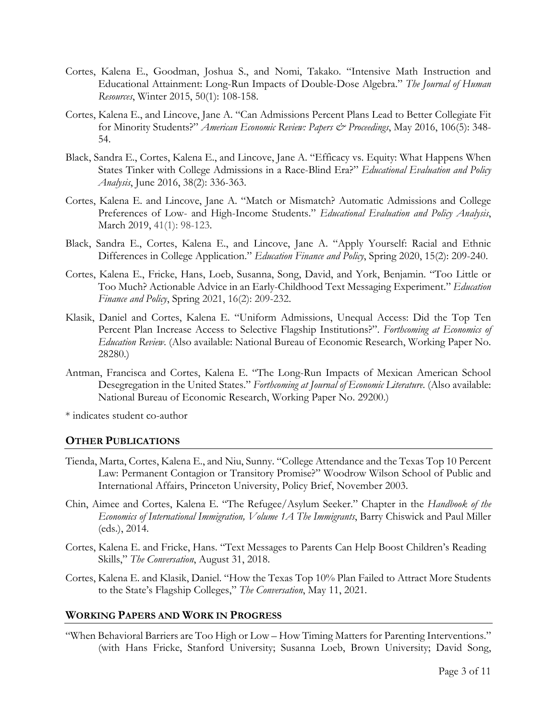- Cortes, Kalena E., Goodman, Joshua S., and Nomi, Takako. "Intensive Math Instruction and Educational Attainment: Long-Run Impacts of Double-Dose Algebra." *The Journal of Human Resources*, Winter 2015, 50(1): 108-158.
- Cortes, Kalena E., and Lincove, Jane A. "Can Admissions Percent Plans Lead to Better Collegiate Fit for Minority Students?" *American Economic Review: Papers & Proceedings*, May 2016, 106(5): 348- 54.
- Black, Sandra E., Cortes, Kalena E., and Lincove, Jane A. "Efficacy vs. Equity: What Happens When States Tinker with College Admissions in a Race-Blind Era?" *Educational Evaluation and Policy Analysis*, June 2016, 38(2): 336-363.
- Cortes, Kalena E. and Lincove, Jane A. "Match or Mismatch? Automatic Admissions and College Preferences of Low- and High-Income Students." *Educational Evaluation and Policy Analysis*, March 2019, 41(1): 98-123.
- Black, Sandra E., Cortes, Kalena E., and Lincove, Jane A. "Apply Yourself: Racial and Ethnic Differences in College Application." *Education Finance and Policy*, Spring 2020, 15(2): 209-240.
- Cortes, Kalena E., Fricke, Hans, Loeb, Susanna, Song, David, and York, Benjamin. "Too Little or Too Much? Actionable Advice in an Early-Childhood Text Messaging Experiment." *Education Finance and Policy*, Spring 2021, 16(2): 209-232.
- Klasik, Daniel and Cortes, Kalena E. "Uniform Admissions, Unequal Access: Did the Top Ten Percent Plan Increase Access to Selective Flagship Institutions?". *Forthcoming at Economics of Education Review*. (Also available: National Bureau of Economic Research, Working Paper No. 28280.)
- Antman, Francisca and Cortes, Kalena E. "The Long-Run Impacts of Mexican American School Desegregation in the United States." *Forthcoming at Journal of Economic Literature*. (Also available: National Bureau of Economic Research, Working Paper No. 29200.)

\* indicates student co-author

#### **OTHER PUBLICATIONS**

- Tienda, Marta, Cortes, Kalena E., and Niu, Sunny. "College Attendance and the Texas Top 10 Percent Law: Permanent Contagion or Transitory Promise?" Woodrow Wilson School of Public and International Affairs, Princeton University, Policy Brief, November 2003.
- Chin, Aimee and Cortes, Kalena E. "The Refugee/Asylum Seeker." Chapter in the *Handbook of the Economics of International Immigration, Volume 1A The Immigrants*, Barry Chiswick and Paul Miller (eds.), 2014.
- Cortes, Kalena E. and Fricke, Hans. "Text Messages to Parents Can Help Boost Children's Reading Skills," *[The Conversation](https://theconversation.com/text-messages-to-parents-can-help-boost-childrens-reading-skills-100306)*, August 31, 2018.
- Cortes, Kalena E. and Klasik, Daniel. "How the Texas Top 10% Plan Failed to Attract More Students to the State's Flagship Colleges," *[The Conversation](https://theconversation.com/text-messages-to-parents-can-help-boost-childrens-reading-skills-100306)*, May 11, 2021.

#### **WORKING PAPERS AND WORK IN PROGRESS**

["When Behavioral Barriers are Too High or Low –](https://www.nber.org/papers/w25964) How Timing Matters for Parenting Interventions." (with Hans Fricke, Stanford University; Susanna Loeb, Brown University; David Song,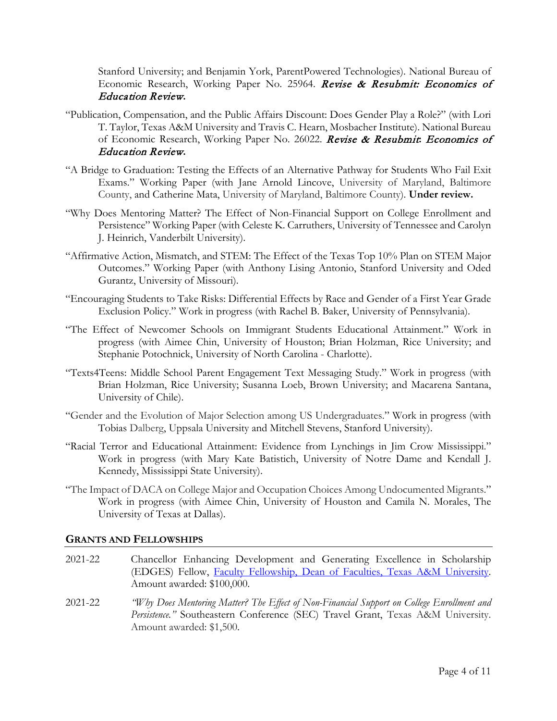Stanford University; and Benjamin York, ParentPowered Technologies). National Bureau of Economic Research, Working Paper No. 25964. Revise & Resubmit: Economics of Education Review**.**

- "Publication, Compensation, and the Public Affairs Discount: Does Gender Play a Role?" (with Lori T. Taylor, Texas A&M University and Travis C. Hearn, Mosbacher Institute). National Bureau of Economic Research, Working Paper No. 26022. Revise & Resubmit**:** Economics of Education Review**.**
- "A Bridge to Graduation: Testing the Effects of an Alternative Pathway for Students Who Fail Exit Exams." Working Paper (with Jane Arnold Lincove, University of Maryland, Baltimore County, and Catherine Mata, University of Maryland, Baltimore County). **Under review.**
- "Why Does Mentoring Matter? The Effect of Non-Financial Support on College Enrollment and Persistence" Working Paper (with Celeste K. Carruthers, University of Tennessee and Carolyn J. Heinrich, Vanderbilt University).
- "Affirmative Action, Mismatch, and STEM: The Effect of the Texas Top 10% Plan on STEM Major Outcomes." Working Paper (with Anthony Lising Antonio, Stanford University and Oded Gurantz, University of Missouri).
- "Encouraging Students to Take Risks: Differential Effects by Race and Gender of a First Year Grade Exclusion Policy." Work in progress (with Rachel B. Baker, University of Pennsylvania).
- "The Effect of Newcomer Schools on Immigrant Students Educational Attainment." Work in progress (with Aimee Chin, University of Houston; Brian Holzman, Rice University; and Stephanie Potochnick, University of North Carolina - Charlotte).
- "Texts4Teens: Middle School Parent Engagement Text Messaging Study." Work in progress (with Brian Holzman, Rice University; Susanna Loeb, Brown University; and Macarena Santana, University of Chile).
- "Gender and the Evolution of Major Selection among US Undergraduates." Work in progress (with Tobias Dalberg, Uppsala University and Mitchell Stevens, Stanford University).
- "Racial Terror and Educational Attainment: Evidence from Lynchings in Jim Crow Mississippi." Work in progress (with Mary Kate Batistich, University of Notre Dame and Kendall J. Kennedy, Mississippi State University).
- "The Impact of DACA on College Major and Occupation Choices Among Undocumented Migrants." Work in progress (with Aimee Chin, University of Houston and Camila N. Morales, The University of Texas at Dallas).

#### **GRANTS AND FELLOWSHIPS**

- 2021-22 Chancellor Enhancing Development and Generating Excellence in Scholarship (EDGES) Fellow, [Faculty Fellowship, Dean of Faculties, Texas A&M University.](https://bush.tamu.edu/news/texas-am-faculty-awarded-7-7-million-to-advance-their-research/) Amount awarded: \$100,000.
- 2021-22 *"Why Does Mentoring Matter? The Effect of Non-Financial Support on College Enrollment and Persistence."* Southeastern Conference (SEC) Travel Grant, Texas A&M University. Amount awarded: \$1,500.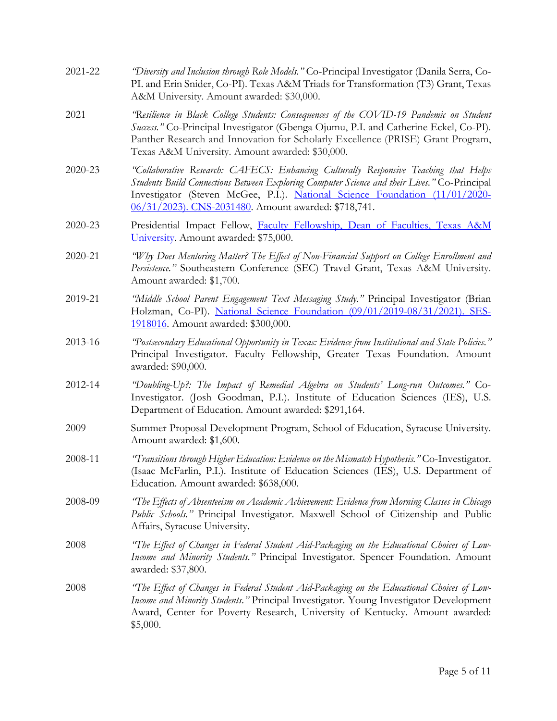| 2021-22 | "Diversity and Inclusion through Role Models." Co-Principal Investigator (Danila Serra, Co-<br>PI. and Erin Snider, Co-PI). Texas A&M Triads for Transformation (T3) Grant, Texas<br>A&M University. Amount awarded: \$30,000.                                                                                              |
|---------|-----------------------------------------------------------------------------------------------------------------------------------------------------------------------------------------------------------------------------------------------------------------------------------------------------------------------------|
| 2021    | 'Resilience in Black College Students: Consequences of the COVID-19 Pandemic on Student<br>Success." Co-Principal Investigator (Gbenga Ojumu, P.I. and Catherine Eckel, Co-PI).<br>Panther Research and Innovation for Scholarly Excellence (PRISE) Grant Program,<br>Texas A&M University. Amount awarded: \$30,000.       |
| 2020-23 | "Collaborative Research: CAFECS: Enhancing Culturally Responsive Teaching that Helps<br>Students Build Connections Between Exploring Computer Science and their Lives." Co-Principal<br>Investigator (Steven McGee, P.I.). National Science Foundation (11/01/2020-<br>06/31/2023). CNS-2031480. Amount awarded: \$718,741. |
| 2020-23 | Presidential Impact Fellow, Faculty Fellowship, Dean of Faculties, Texas A&M<br>University. Amount awarded: \$75,000.                                                                                                                                                                                                       |
| 2020-21 | "Why Does Mentoring Matter? The Effect of Non-Financial Support on College Enrollment and<br>Persistence." Southeastern Conference (SEC) Travel Grant, Texas A&M University.<br>Amount awarded: \$1,700.                                                                                                                    |
| 2019-21 | "Middle School Parent Engagement Text Messaging Study." Principal Investigator (Brian<br>Holzman, Co-PI). National Science Foundation (09/01/2019-08/31/2021). SES-<br>1918016. Amount awarded: \$300,000.                                                                                                                  |
| 2013-16 | "Postsecondary Educational Opportunity in Texas: Evidence from Institutional and State Policies."<br>Principal Investigator. Faculty Fellowship, Greater Texas Foundation. Amount<br>awarded: \$90,000.                                                                                                                     |
| 2012-14 | "Doubling-Up?: The Impact of Remedial Algebra on Students' Long-run Outcomes." Co-<br>Investigator. (Josh Goodman, P.I.). Institute of Education Sciences (IES), U.S.<br>Department of Education. Amount awarded: \$291,164.                                                                                                |
| 2009    | Summer Proposal Development Program, School of Education, Syracuse University.<br>Amount awarded: \$1,600.                                                                                                                                                                                                                  |
| 2008-11 | "Transitions through Higher Education: Evidence on the Mismatch Hypothesis." Co-Investigator.<br>(Isaac McFarlin, P.I.). Institute of Education Sciences (IES), U.S. Department of<br>Education. Amount awarded: \$638,000.                                                                                                 |
| 2008-09 | "The Effects of Absenteeism on Academic Achievement: Evidence from Morning Classes in Chicago<br>Public Schools." Principal Investigator. Maxwell School of Citizenship and Public<br>Affairs, Syracuse University.                                                                                                         |
| 2008    | "The Effect of Changes in Federal Student Aid-Packaging on the Educational Choices of Low-<br>Income and Minority Students." Principal Investigator. Spencer Foundation. Amount<br>awarded: \$37,800.                                                                                                                       |
| 2008    | "The Effect of Changes in Federal Student Aid-Packaging on the Educational Choices of Low-<br>Income and Minority Students." Principal Investigator. Young Investigator Development<br>Award, Center for Poverty Research, University of Kentucky. Amount awarded:<br>\$5,000.                                              |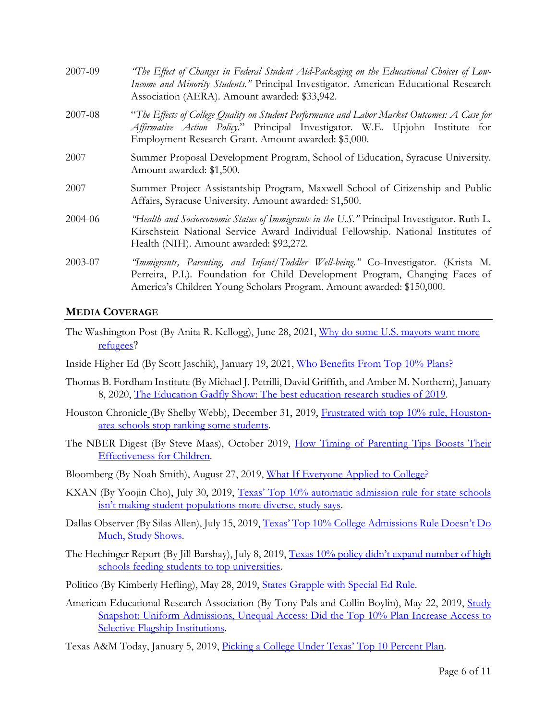| 2007-09 | "The Effect of Changes in Federal Student Aid-Packaging on the Educational Choices of Low-<br>Income and Minority Students." Principal Investigator. American Educational Research<br>Association (AERA). Amount awarded: \$33,942.          |
|---------|----------------------------------------------------------------------------------------------------------------------------------------------------------------------------------------------------------------------------------------------|
| 2007-08 | "The Effects of College Quality on Student Performance and Labor Market Outcomes: A Case for<br>Affirmative Action Policy." Principal Investigator. W.E. Upjohn Institute for<br>Employment Research Grant. Amount awarded: \$5,000.         |
| 2007    | Summer Proposal Development Program, School of Education, Syracuse University.<br>Amount awarded: \$1,500.                                                                                                                                   |
| 2007    | Summer Project Assistantship Program, Maxwell School of Citizenship and Public<br>Affairs, Syracuse University. Amount awarded: \$1,500.                                                                                                     |
| 2004-06 | "Health and Socioeconomic Status of Immigrants in the U.S." Principal Investigator. Ruth L.<br>Kirschstein National Service Award Individual Fellowship. National Institutes of<br>Health (NIH). Amount awarded: \$92,272.                   |
| 2003-07 | 'Immigrants, Parenting, and Infant/Toddler Well-being." Co-Investigator. (Krista M.<br>Perreira, P.I.). Foundation for Child Development Program, Changing Faces of<br>America's Children Young Scholars Program. Amount awarded: \$150,000. |

## **MEDIA COVERAGE**

- The Washington Post (By Anita R. Kellogg), June 28, 2021, [Why do some U.S. mayors want more](https://www.washingtonpost.com/politics/2021/06/28/why-do-us-mayors-want-more-refugees/)  [refugees](https://www.washingtonpost.com/politics/2021/06/28/why-do-us-mayors-want-more-refugees/)?
- Inside Higher Ed (By Scott Jaschik), January 19, 2021, [Who Benefits From Top 10% Plans?](https://www.insidehighered.com/admissions/article/2021/01/19/report-questions-benefits-10-percent-admissions-plans)
- Thomas B. Fordham Institute (By Michael J. Petrilli, David Griffith, and Amber M. Northern), January 8, 2020, [The Education Gadfly Show: The best education research studies of 2019.](https://fordhaminstitute.org/national/resources/education-gadfly-show-best-education-research-studies-2019?fbclid=IwAR0GVd4jd2PAHROupen4M2Y-owDCk7AYuPCPBC7nrO9LkoDyZd2AHM1R6yA)
- Houston Chronicle (By Shelby Webb), December 31, 2019, [Frustrated with top 10% rule, Houston](https://www.houstonchronicle.com/news/houston-texas/houston/article/Frustrated-with-top-10-rule-Houston-area-14940334.php)[area schools stop ranking some](https://www.houstonchronicle.com/news/houston-texas/houston/article/Frustrated-with-top-10-rule-Houston-area-14940334.php) student[s.](https://www.houstonchronicle.com/news/houston-texas/houston/article/Frustrated-with-top-10-rule-Houston-area-14940334.php)
- The NBER Digest (By Steve Maas), October 2019, [How Timing of Parenting Tips Boosts Their](https://www.nber.org/digest/oct19/oct19.pdf)  [Effectiveness for Children.](https://www.nber.org/digest/oct19/oct19.pdf)
- Bloomberg (By Noah Smith), August 27, 2019, [What If Everyone Applied to College?](https://www.bloomberg.com/opinion/articles/2019-08-27/what-if-everyone-applied-to-college)
- KXAN (By Yoojin Cho), July 30, 2019, [Texas' Top 10% automatic admission rule for state schools](https://www.kxan.com/news/education/texas-top-10-automatic-admission-rule-for-state-schools-isnt-making-student-populations-more-diverse-study-says/)  [isn't making student populations more diverse, study says.](https://www.kxan.com/news/education/texas-top-10-automatic-admission-rule-for-state-schools-isnt-making-student-populations-more-diverse-study-says/)
- Dallas Observer (By Silas Allen), July 15, 2019, [Texas' Top 10% College Admissions Rule Doesn't Do](https://www.dallasobserver.com/news/texas-top-10-college-admissions-rule-doesnt-do-much-study-suggests-11707403)  [Much, Study Shows.](https://www.dallasobserver.com/news/texas-top-10-college-admissions-rule-doesnt-do-much-study-suggests-11707403)
- The Hechinger Report (By Jill Barshay), July 8, 2019, Texas 10% policy didn't expand number of high [schools feeding students to top universities.](https://hechingerreport.org/texas-top-10-policy-didnt-expand-number-of-high-schools-feeding-students-to-top-universities/)
- Politico (By Kimberly Hefling), May 28, 2019, [States Grapple with Special Ed Rule.](https://www.politico.com/newsletters/morning-education/2019/05/28/states-grapple-with-special-ed-rule-440598)
- American Educational Research Association (By Tony Pals and Collin Boylin), May 22, 2019, Study [Snapshot: Uniform Admissions, Unequal Access: Did the Top 10% Plan Increase Access to](https://www.aera.net/Newsroom/Study-Snapshot-Uniform-Admissions-Unequal-Access-Did-the-Top-10-Plan-Increase-Access-to-Selective-Flagship-Institutions)  [Selective Flagship Institutions.](https://www.aera.net/Newsroom/Study-Snapshot-Uniform-Admissions-Unequal-Access-Did-the-Top-10-Plan-Increase-Access-to-Selective-Flagship-Institutions)
- Texas A&M Today, January 5, 2019, [Picking a College Under Texas' Top 10 Percent Plan.](https://today.tamu.edu/2019/01/05/picking-a-college-under-texas-top-10-percent-plan/)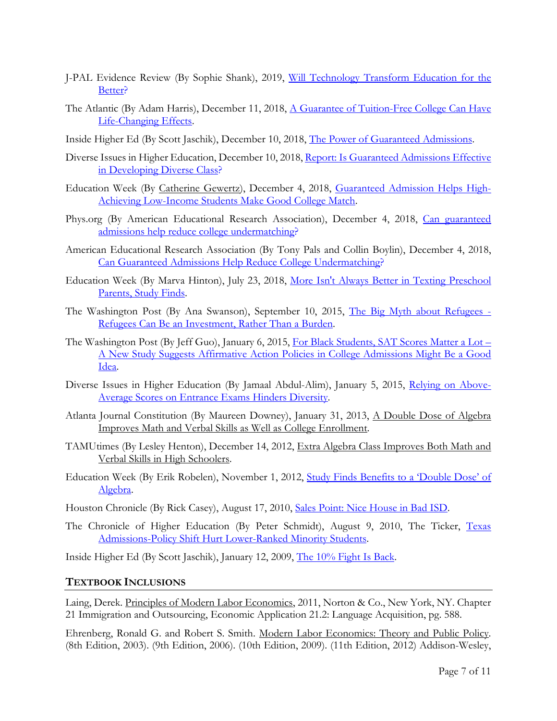- J-PAL Evidence Review (By Sophie Shank), 2019, [Will Technology Transform Education for the](https://www.povertyactionlab.org/sites/default/files/documents/education-technology-evidence-review.pdf)  [Better?](https://www.povertyactionlab.org/sites/default/files/documents/education-technology-evidence-review.pdf)
- The Atlantic (By Adam Harris), December 11, 2018, A Guarantee of Tuition-Free College Can Have [Life-Changing Effects.](https://www.theatlantic.com/education/archive/2018/12/life-changing-effects-free-college/577831/)
- Inside Higher Ed (By Scott Jaschik), December 10, 2018, [The Power of Guaranteed Admissions.](http://www.insidehighered.com/admissions/article/2018/12/10/study-finds-key-impact-guaranteed-admissions-enrollment-disadvantaged)
- Diverse Issues in Higher Education, December 10, 2018, Report: Is Guaranteed Admissions Effective [in Developing Diverse Class?](https://diverseeducation.com/article/133866/)
- Education Week (By [Catherine Gewertz\)](http://www.edweek.org/ew/contributors/catherine.gewertz.html), December 4, 2018, [Guaranteed Admission Helps High-](http://blogs.edweek.org/edweek/high_school_and_beyond/2018/12/guaranteed_admission_helps_college_match.html)[Achieving Low-Income Students Make Good College Match.](http://blogs.edweek.org/edweek/high_school_and_beyond/2018/12/guaranteed_admission_helps_college_match.html)
- Phys.org (By American Educational Research Association), December 4, 2018, Can guaranteed [admissions help reduce college undermatching?](https://phys.org/news/2018-12-admissions-college-undermatching.html)
- American Educational Research Association (By Tony Pals and Collin Boylin), December 4, 2018, [Can Guaranteed Admissions Help Reduce College Undermatching?](https://www.aera.net/Newsroom/Can-Guaranteed-Admissions-Help-Reduce-College-Undermatching)
- Education Week (By Marva Hinton), July 23, 2018, [More Isn't Always Better in Texting Preschool](https://blogs.edweek.org/edweek/early_years/2018/07/new_study_finds_more_isnt_always_better_when_it_comes_to_texting_parents.html)  [Parents, Study Finds.](https://blogs.edweek.org/edweek/early_years/2018/07/new_study_finds_more_isnt_always_better_when_it_comes_to_texting_parents.html)
- The Washington Post (By Ana Swanson), September 10, 2015, [The Big Myth about Refugees -](https://www.washingtonpost.com/news/wonk/wp/2015/09/10/the-big-myth-about-refugees/?noredirect=on&utm_term=.4fa17352a532) [Refugees Can Be an Investment, Rather Than a Burden.](https://www.washingtonpost.com/news/wonk/wp/2015/09/10/the-big-myth-about-refugees/?noredirect=on&utm_term=.4fa17352a532)
- The Washington Post (By Jeff Guo), January 6, 2015, [For Black Students, SAT Scores Matter a Lot –](https://www.washingtonpost.com/news/storyline/wp/2015/01/06/for-black-students-sat-scores-matter-a-lot-more/?utm_term=.b7546b9ea4e2) [A New Study Suggests Affirmative Action Policies in College Admissions Might Be a Good](https://www.washingtonpost.com/news/storyline/wp/2015/01/06/for-black-students-sat-scores-matter-a-lot-more/?utm_term=.b7546b9ea4e2)  [Idea.](https://www.washingtonpost.com/news/storyline/wp/2015/01/06/for-black-students-sat-scores-matter-a-lot-more/?utm_term=.b7546b9ea4e2)
- Diverse Issues in Higher Education (By Jamaal Abdul-Alim), January 5, 2015, [Relying on Above-](https://diverseeducation.com/article/68677)[Average Scores on Entrance Exams Hinders Diversity.](https://diverseeducation.com/article/68677)
- Atlanta Journal Constitution (By Maureen Downey), January 31, 2013, A Double Dose of Algebra Improves Math and Verbal Skills as Well as College Enrollment.
- TAMUtimes (By Lesley Henton), December 14, 2012, Extra Algebra Class Improves Both Math and Verbal Skills in High Schoolers.
- Education Week (By Erik Robelen), November 1, 2012, [Study Finds Benefits to a 'Double Dose' of](http://blogs.edweek.org/edweek/curriculum/2012/11/study_finds_benefits_to_a_doub.html)  [Algebra.](http://blogs.edweek.org/edweek/curriculum/2012/11/study_finds_benefits_to_a_doub.html)

Houston Chronicle (By Rick Casey), August 17, 2010, [Sales Point: Nice House in Bad ISD.](https://www.chron.com/news/casey/article/Rick-Casey-Sales-point-Nice-house-in-a-bad-ISD-1701937.php)

The Chronicle of Higher Education (By Peter Schmidt), August 9, 2010, The Ticker, Texas Admissions-Policy Shift [Hurt Lower-Ranked Minority Students.](https://www.chronicle.com/blogs/ticker/texas-admissions-policy-shift-hurt-lower-ranked-minority-students-study-suggests/26096)

Inside Higher Ed (By Scott Jaschik), January 12, 2009, [The 10% Fight Is Back.](https://www.insidehighered.com/news/2009/01/12/10-fight-back)

#### **TEXTBOOK INCLUSIONS**

Laing, Derek. Principles of Modern Labor Economics, 2011, Norton & Co., New York, NY. Chapter 21 Immigration and Outsourcing, Economic Application 21.2: Language Acquisition, pg. 588.

Ehrenberg, Ronald G. and Robert S. Smith. Modern Labor Economics: Theory and Public Policy. (8th Edition, 2003). (9th Edition, 2006). (10th Edition, 2009). (11th Edition, 2012) Addison-Wesley,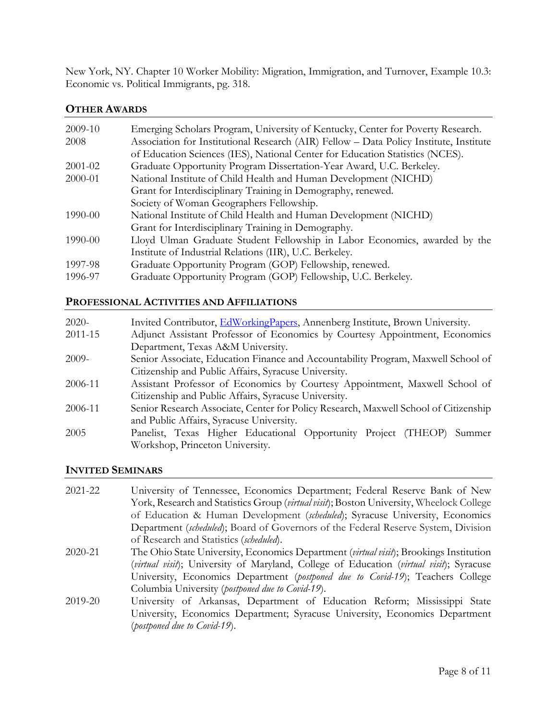New York, NY. Chapter 10 Worker Mobility: Migration, Immigration, and Turnover, Example 10.3: Economic vs. Political Immigrants, pg. 318.

## **OTHER AWARDS**

| 2009-10 | Emerging Scholars Program, University of Kentucky, Center for Poverty Research.        |
|---------|----------------------------------------------------------------------------------------|
| 2008    | Association for Institutional Research (AIR) Fellow – Data Policy Institute, Institute |
|         | of Education Sciences (IES), National Center for Education Statistics (NCES).          |
| 2001-02 | Graduate Opportunity Program Dissertation-Year Award, U.C. Berkeley.                   |
| 2000-01 | National Institute of Child Health and Human Development (NICHD)                       |
|         | Grant for Interdisciplinary Training in Demography, renewed.                           |
|         | Society of Woman Geographers Fellowship.                                               |
| 1990-00 | National Institute of Child Health and Human Development (NICHD)                       |
|         | Grant for Interdisciplinary Training in Demography.                                    |
| 1990-00 | Lloyd Ulman Graduate Student Fellowship in Labor Economics, awarded by the             |
|         | Institute of Industrial Relations (IIR), U.C. Berkeley.                                |
| 1997-98 | Graduate Opportunity Program (GOP) Fellowship, renewed.                                |
| 1996-97 | Graduate Opportunity Program (GOP) Fellowship, U.C. Berkeley.                          |

## **PROFESSIONAL ACTIVITIES AND AFFILIATIONS**

| $2020-$ | Invited Contributor, EdWorkingPapers, Annenberg Institute, Brown University.         |
|---------|--------------------------------------------------------------------------------------|
| 2011-15 | Adjunct Assistant Professor of Economics by Courtesy Appointment, Economics          |
|         | Department, Texas A&M University.                                                    |
| $2009-$ | Senior Associate, Education Finance and Accountability Program, Maxwell School of    |
|         | Citizenship and Public Affairs, Syracuse University.                                 |
| 2006-11 | Assistant Professor of Economics by Courtesy Appointment, Maxwell School of          |
|         | Citizenship and Public Affairs, Syracuse University.                                 |
| 2006-11 | Senior Research Associate, Center for Policy Research, Maxwell School of Citizenship |
|         | and Public Affairs, Syracuse University.                                             |
| 2005    | Panelist, Texas Higher Educational Opportunity Project (THEOP)<br>Summer             |
|         | Workshop, Princeton University.                                                      |

## **INVITED SEMINARS**

| 2021-22 | University of Tennessee, Economics Department; Federal Reserve Bank of New               |
|---------|------------------------------------------------------------------------------------------|
|         | York, Research and Statistics Group (virtual visit); Boston University, Wheelock College |
|         | of Education & Human Development (scheduled); Syracuse University, Economics             |
|         | Department (scheduled); Board of Governors of the Federal Reserve System, Division       |
|         | of Research and Statistics (scheduled).                                                  |
| 2020-21 | The Ohio State University, Economics Department (virtual visit); Brookings Institution   |
|         | (virtual visit); University of Maryland, College of Education (virtual visit); Syracuse  |
|         | University, Economics Department (postponed due to Covid-19); Teachers College           |
|         | Columbia University (postponed due to Covid-19).                                         |
| 2019-20 | University of Arkansas, Department of Education Reform; Mississippi State                |
|         | University, Economics Department; Syracuse University, Economics Department              |
|         | (postponed due to Covid-19).                                                             |
|         |                                                                                          |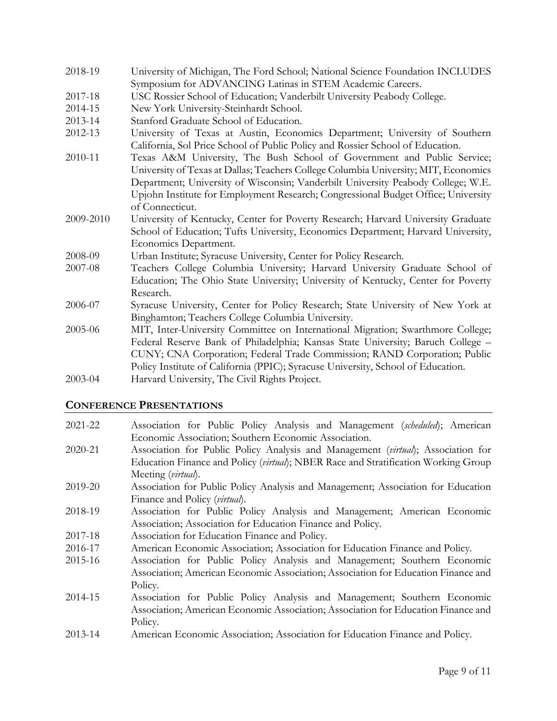- 2018-19 University of Michigan, The Ford School; National Science Foundation INCLUDES Symposium for ADVANCING Latinas in STEM Academic Careers.
- 2017-18 USC Rossier School of Education; Vanderbilt University Peabody College.
- 2014-15 New York University-Steinhardt School.
- 2013-14 Stanford Graduate School of Education.
- 2012-13 University of Texas at Austin, Economics Department; University of Southern California, Sol Price School of Public Policy and Rossier School of Education.
- 2010-11 Texas A&M University, The Bush School of Government and Public Service; University of Texas at Dallas; Teachers College Columbia University; MIT, Economics Department; University of Wisconsin; Vanderbilt University Peabody College; W.E. Upjohn Institute for Employment Research; Congressional Budget Office; University of Connecticut.
- 2009-2010 University of Kentucky, Center for Poverty Research; Harvard University Graduate School of Education; Tufts University, Economics Department; Harvard University, Economics Department.
- 2008-09 Urban Institute; Syracuse University, Center for Policy Research.
- 2007-08 Teachers College Columbia University; Harvard University Graduate School of Education; The Ohio State University; University of Kentucky, Center for Poverty Research.
- 2006-07 Syracuse University, Center for Policy Research; State University of New York at Binghamton; Teachers College Columbia University.
- 2005-06 MIT, Inter-University Committee on International Migration; Swarthmore College; Federal Reserve Bank of Philadelphia; Kansas State University; Baruch College – CUNY; CNA Corporation; Federal Trade Commission; RAND Corporation; Public Policy Institute of California (PPIC); Syracuse University, School of Education. 2003-04 Harvard University, The Civil Rights Project.

## **CONFERENCE PRESENTATIONS**

- 2021-22 Association for Public Policy Analysis and Management (*scheduled*); American Economic Association; Southern Economic Association.
- 2020-21 Association for Public Policy Analysis and Management (*virtual*); Association for Education Finance and Policy (*virtual*); NBER Race and Stratification Working Group Meeting (*virtual*).
- 2019-20 Association for Public Policy Analysis and Management; Association for Education Finance and Policy (*virtual*).
- 2018-19 Association for Public Policy Analysis and Management; American Economic Association; Association for Education Finance and Policy.
- 2017-18 Association for Education Finance and Policy.
- 2016-17 American Economic Association; Association for Education Finance and Policy.
- 2015-16 Association for Public Policy Analysis and Management; Southern Economic Association; American Economic Association; Association for Education Finance and Policy.
- 2014-15 Association for Public Policy Analysis and Management; Southern Economic Association; American Economic Association; Association for Education Finance and Policy.
- 2013-14 American Economic Association; Association for Education Finance and Policy.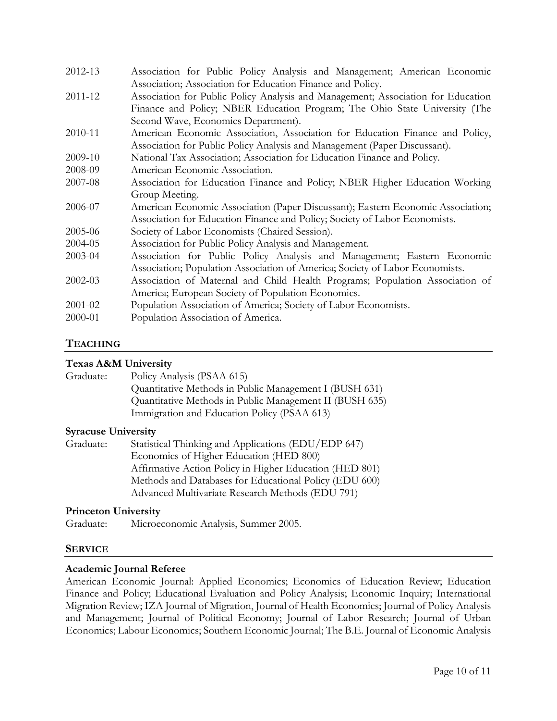| 2012-13 | Association for Public Policy Analysis and Management; American Economic         |
|---------|----------------------------------------------------------------------------------|
|         | Association; Association for Education Finance and Policy.                       |
| 2011-12 | Association for Public Policy Analysis and Management; Association for Education |
|         | Finance and Policy; NBER Education Program; The Ohio State University (The       |
|         | Second Wave, Economics Department).                                              |
| 2010-11 | American Economic Association, Association for Education Finance and Policy,     |
|         | Association for Public Policy Analysis and Management (Paper Discussant).        |
| 2009-10 | National Tax Association; Association for Education Finance and Policy.          |
| 2008-09 | American Economic Association.                                                   |
| 2007-08 | Association for Education Finance and Policy; NBER Higher Education Working      |
|         | Group Meeting.                                                                   |
| 2006-07 | American Economic Association (Paper Discussant); Eastern Economic Association;  |
|         | Association for Education Finance and Policy; Society of Labor Economists.       |
| 2005-06 | Society of Labor Economists (Chaired Session).                                   |
| 2004-05 | Association for Public Policy Analysis and Management.                           |
| 2003-04 | Association for Public Policy Analysis and Management; Eastern Economic          |
|         | Association; Population Association of America; Society of Labor Economists.     |
| 2002-03 | Association of Maternal and Child Health Programs; Population Association of     |
|         | America; European Society of Population Economics.                               |
| 2001-02 | Population Association of America; Society of Labor Economists.                  |
| 2000-01 | Population Association of America.                                               |
|         |                                                                                  |

## **TEACHING**

## **Texas A&M University**

| Graduate: | Policy Analysis (PSAA 615)                              |
|-----------|---------------------------------------------------------|
|           | Quantitative Methods in Public Management I (BUSH 631)  |
|           | Quantitative Methods in Public Management II (BUSH 635) |
|           | Immigration and Education Policy (PSAA 613)             |

#### **Syracuse University**

| Graduate: | Statistical Thinking and Applications (EDU/EDP 647)     |
|-----------|---------------------------------------------------------|
|           | Economics of Higher Education (HED 800)                 |
|           | Affirmative Action Policy in Higher Education (HED 801) |
|           | Methods and Databases for Educational Policy (EDU 600)  |
|           | Advanced Multivariate Research Methods (EDU 791)        |

#### **Princeton University**

Graduate: Microeconomic Analysis, Summer 2005.

#### **SERVICE**

#### **Academic Journal Referee**

American Economic Journal: Applied Economics; Economics of Education Review; Education Finance and Policy; Educational Evaluation and Policy Analysis; Economic Inquiry; International Migration Review; IZA Journal of Migration, Journal of Health Economics; Journal of Policy Analysis and Management; Journal of Political Economy; Journal of Labor Research; Journal of Urban Economics; Labour Economics; Southern Economic Journal; The B.E. Journal of Economic Analysis